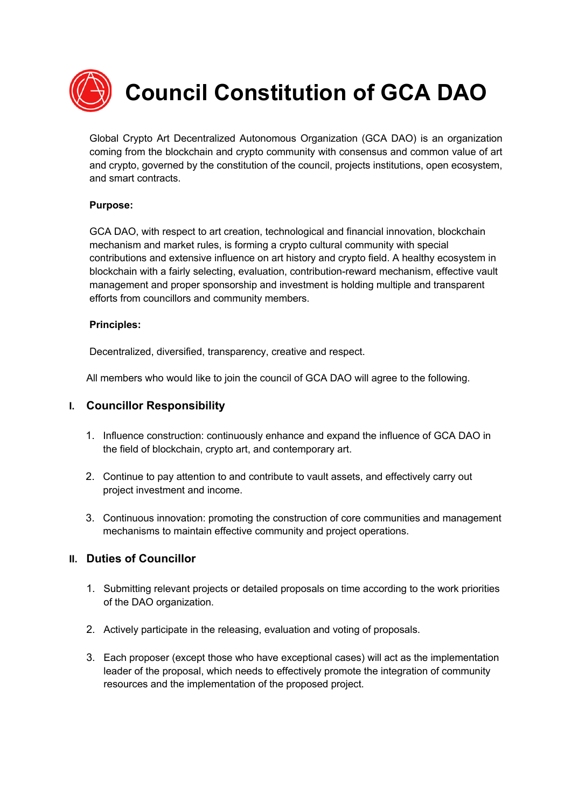

 **Council Constitution of GCA DAO**

Global Crypto Art Decentralized Autonomous Organization (GCA DAO) is an organization coming from the blockchain and crypto community with consensus and common value of art and crypto, governed by the constitution of the council, projects institutions, open ecosystem, and smart contracts.

#### **Purpose:**

GCA DAO, with respect to art creation, technological and financial innovation, blockchain mechanism and market rules, is forming a crypto cultural community with special contributions and extensive influence on art history and crypto field. A healthy ecosystem in blockchain with a fairly selecting, evaluation, contribution-reward mechanism, effective vault management and proper sponsorship and investment is holding multiple and transparent efforts from councillors and community members.

#### **Principles:**

Decentralized, diversified, transparency, creative and respect.

All members who would like to join the council of GCA DAO will agree to the following.

#### **I. Councillor Responsibility**

- 1. Influence construction: continuously enhance and expand the influence of GCA DAO in the field of blockchain, crypto art, and contemporary art.
- 2. Continue to pay attention to and contribute to vault assets, and effectively carry out project investment and income.
- 3. Continuous innovation: promoting the construction of core communities and management mechanisms to maintain effective community and project operations.

### **II. Duties of Councillor**

- 1. Submitting relevant projects or detailed proposals on time according to the work priorities of the DAO organization.
- 2. Actively participate in the releasing, evaluation and voting of proposals.
- 3. Each proposer (except those who have exceptional cases) will act as the implementation leader of the proposal, which needs to effectively promote the integration of community resources and the implementation of the proposed project.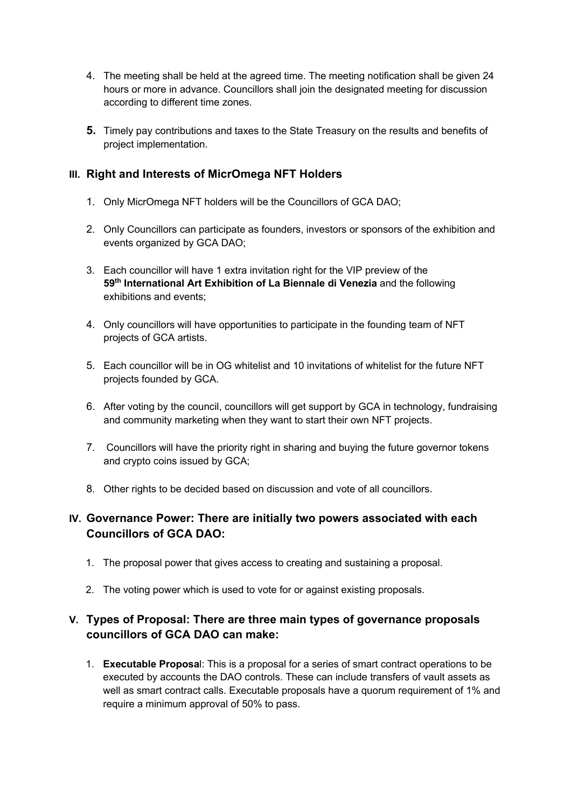- 4. The meeting shall be held at the agreed time. The meeting notification shall be given 24 hours or more in advance. Councillors shall join the designated meeting for discussion according to different time zones.
- **5.** Timely pay contributions and taxes to the State Treasury on the results and benefits of project implementation.

### **III. Right and Interests of MicrOmega NFT Holders**

- 1. Only MicrOmega NFT holders will be the Councillors of GCA DAO;
- 2. Only Councillors can participate as founders, investors or sponsors of the exhibition and events organized by GCA DAO;
- 3. Each councillor will have 1 extra invitation right for the VIP preview of the **59th International Art Exhibition of La Biennale di Venezia** and the following exhibitions and events;
- 4. Only councillors will have opportunities to participate in the founding team of NFT projects of GCA artists.
- 5. Each councillor will be in OG whitelist and 10 invitations of whitelist for the future NFT projects founded by GCA.
- 6. After voting by the council, councillors will get support by GCA in technology, fundraising and community marketing when they want to start their own NFT projects.
- 7. Councillors will have the priority right in sharing and buying the future governor tokens and crypto coins issued by GCA;
- 8. Other rights to be decided based on discussion and vote of all councillors.

# **IV. Governance Power: There are initially two powers associated with each Councillors of GCA DAO:**

- 1. The proposal power that gives access to creating and sustaining a proposal.
- 2. The voting power which is used to vote for or against existing proposals.

# **V. Types of Proposal: There are three main types of governance proposals councillors of GCA DAO can make:**

1. **Executable Proposa**l: This is a proposal for a series of smart contract operations to be executed by accounts the DAO controls. These can include transfers of vault assets as well as smart contract calls. Executable proposals have a quorum requirement of 1% and require a minimum approval of 50% to pass.